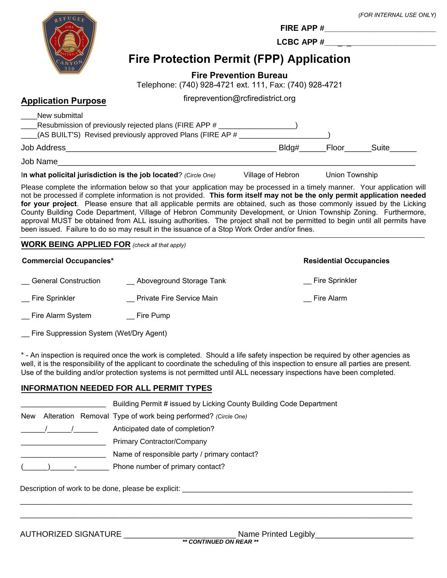|                                                      | <b>Fire Protection Permit (FPP) Application</b>                                                                                                                                                                                                                                                                                                                                                                                                                                                                                                                                                                                                                                                                                  |                                   |                                | (FOR INTERNAL USE ONLY) |
|------------------------------------------------------|----------------------------------------------------------------------------------------------------------------------------------------------------------------------------------------------------------------------------------------------------------------------------------------------------------------------------------------------------------------------------------------------------------------------------------------------------------------------------------------------------------------------------------------------------------------------------------------------------------------------------------------------------------------------------------------------------------------------------------|-----------------------------------|--------------------------------|-------------------------|
|                                                      | Telephone: (740) 928-4721 ext. 111, Fax: (740) 928-4721                                                                                                                                                                                                                                                                                                                                                                                                                                                                                                                                                                                                                                                                          | <b>Fire Prevention Bureau</b>     |                                |                         |
| <b>Application Purpose</b>                           |                                                                                                                                                                                                                                                                                                                                                                                                                                                                                                                                                                                                                                                                                                                                  | fireprevention@rcfiredistrict.org |                                |                         |
| New submittal                                        | Resubmission of previously rejected plans (FIRE APP # ____________________)<br>(AS BUILT'S) Revised previously approved Plans (FIRE AP # ______________________                                                                                                                                                                                                                                                                                                                                                                                                                                                                                                                                                                  |                                   |                                |                         |
|                                                      |                                                                                                                                                                                                                                                                                                                                                                                                                                                                                                                                                                                                                                                                                                                                  |                                   |                                |                         |
|                                                      | In what policital jurisdiction is the job located? (Circle One) Clillage of Hebron Union Township                                                                                                                                                                                                                                                                                                                                                                                                                                                                                                                                                                                                                                |                                   |                                |                         |
|                                                      | Please complete the information below so that your application may be processed in a timely manner. Your application will<br>not be processed if complete information is not provided. This form itself may not be the only permit application needed<br>for your project. Please ensure that all applicable permits are obtained, such as those commonly issued by the Licking<br>County Building Code Department, Village of Hebron Community Development, or Union Township Zoning. Furthermore,<br>approval MUST be obtained from ALL issuing authorities. The project shall not be permitted to begin until all permits have<br>been issued. Failure to do so may result in the issuance of a Stop Work Order and/or fines. |                                   |                                |                         |
| <b>WORK BEING APPLIED FOR</b> (check all that apply) |                                                                                                                                                                                                                                                                                                                                                                                                                                                                                                                                                                                                                                                                                                                                  |                                   |                                |                         |
| <b>Commercial Occupancies*</b>                       |                                                                                                                                                                                                                                                                                                                                                                                                                                                                                                                                                                                                                                                                                                                                  |                                   | <b>Residential Occupancies</b> |                         |
|                                                      | General Construction ________ Aboveground Storage Tank                                                                                                                                                                                                                                                                                                                                                                                                                                                                                                                                                                                                                                                                           |                                   | Fire Sprinkler                 |                         |
| Fire Sprinkler                                       | <b>Example 2 Private Fire Service Main</b>                                                                                                                                                                                                                                                                                                                                                                                                                                                                                                                                                                                                                                                                                       |                                   | Fire Alarm                     |                         |

- \_\_ Fire Alarm System \_\_ Fire Pump
- \_\_ Fire Suppression System (Wet/Dry Agent)

\* - An inspection is required once the work is completed. Should a life safety inspection be required by other agencies as well, it is the responsibility of the applicant to coordinate the scheduling of this inspection to ensure all parties are present. Use of the building and/or protection systems is not permitted until ALL necessary inspections have been completed.

 $\_$  ,  $\_$  ,  $\_$  ,  $\_$  ,  $\_$  ,  $\_$  ,  $\_$  ,  $\_$  ,  $\_$  ,  $\_$  ,  $\_$  ,  $\_$  ,  $\_$  ,  $\_$  ,  $\_$  ,  $\_$  ,  $\_$  ,  $\_$  ,  $\_$  ,  $\_$  ,  $\_$  ,  $\_$  ,  $\_$  ,  $\_$  ,  $\_$  ,  $\_$  ,  $\_$  ,  $\_$  ,  $\_$  ,  $\_$  ,  $\_$  ,  $\_$  ,  $\_$  ,  $\_$  ,  $\_$  ,  $\_$  ,  $\_$  , \_\_\_\_\_\_\_\_\_\_\_\_\_\_\_\_\_\_\_\_\_\_\_\_\_\_\_\_\_\_\_\_\_\_\_\_\_\_\_\_\_\_\_\_\_\_\_\_\_\_\_\_\_\_\_\_\_\_\_\_\_\_\_\_\_\_\_\_\_\_\_\_\_\_\_\_\_\_\_\_\_\_\_\_\_\_\_\_\_\_\_\_\_\_\_\_\_

## **INFORMATION NEEDED FOR ALL PERMIT TYPES**

|            |  | Building Permit # issued by Licking County Building Code Department |
|------------|--|---------------------------------------------------------------------|
| <b>New</b> |  | Alteration Removal Type of work being performed? (Circle One)       |
|            |  | Anticipated date of completion?                                     |
|            |  | <b>Primary Contractor/Company</b>                                   |
|            |  | Name of responsible party / primary contact?                        |
|            |  | Phone number of primary contact?                                    |

Description of work to be done, please be explicit: \_\_\_\_\_\_\_\_\_\_\_\_\_\_\_\_\_\_\_\_\_\_\_\_\_\_\_\_\_\_\_\_\_\_\_\_\_\_\_\_\_\_\_\_\_\_\_\_\_\_\_\_\_\_\_\_\_

AUTHORIZED SIGNATURE \_\_\_\_\_\_\_\_\_\_\_\_\_\_\_\_\_\_\_\_\_\_\_\_\_ Name Printed Legibly\_\_\_\_\_\_\_\_\_\_\_\_\_\_\_\_\_\_\_\_\_\_ *\*\* CONTINUED ON REAR \*\**